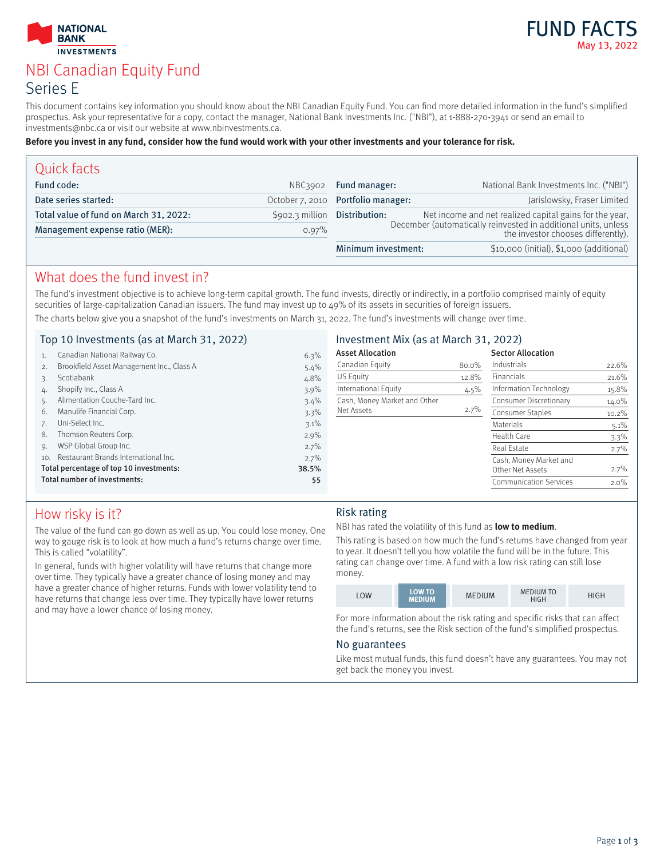



# NBI Canadian Equity Fund Series E

This document contains key information you should know about the NBI Canadian Equity Fund. You can find more detailed information in the fund's simplified prospectus. Ask your representative for a copy, contact the manager, National Bank Investments Inc. ("NBI"), at 1-888-270-3941 or send an email to investments@nbc.ca or visit our website at www.nbinvestments.ca.

#### **Before you invest in any fund, consider how the fund would work with your other investments and your tolerance for risk.**

| Quick facts                            |                  |                                                                                                      |                                                         |  |
|----------------------------------------|------------------|------------------------------------------------------------------------------------------------------|---------------------------------------------------------|--|
| Fund code:                             | NBC3902          | Fund manager:                                                                                        | National Bank Investments Inc. ("NBI")                  |  |
| Date series started:                   |                  | October 7, 2010 Portfolio manager:                                                                   | Jarislowsky, Fraser Limited                             |  |
| Total value of fund on March 31, 2022: | $$902.3$ million | Distribution:                                                                                        | Net income and net realized capital gains for the year, |  |
| Management expense ratio (MER):        | 0.97%            | December (automatically reinvested in additional units, unless<br>the investor chooses differently). |                                                         |  |
|                                        |                  | Minimum investment:                                                                                  | \$10,000 (initial), \$1,000 (additional)                |  |

### What does the fund invest in?

The fund's investment objective is to achieve long-term capital growth. The fund invests, directly or indirectly, in a portfolio comprised mainly of equity securities of large-capitalization Canadian issuers. The fund may invest up to 49% of its assets in securities of foreign issuers. The charts below give you a snapshot of the fund's investments on March 31, 2022. The fund's investments will change over time.

### Top 10 Investments (as at March 31, 2022)

| Top 10 Investments (as at March 31, 2022)        |                                           | Investment Mix (as at March 31, 2022) |                              |                  |                               |          |
|--------------------------------------------------|-------------------------------------------|---------------------------------------|------------------------------|------------------|-------------------------------|----------|
|                                                  | Canadian National Railway Co.             | 6.3%                                  | <b>Asset Allocation</b>      |                  | <b>Sector Allocation</b>      |          |
| 2.                                               | Brookfield Asset Management Inc., Class A | $5.4\%$                               | Canadian Equity              | 80.0%            | Industrials                   | 22.6%    |
| 3.                                               | Scotiabank                                | 4.8%                                  | <b>US Equity</b>             | 12.8%            | Financials                    | 21.6%    |
| 4.                                               | Shopify Inc., Class A                     | $3.9\%$                               | International Equity         | 4.5%             | Information Technology        | 15.8%    |
|                                                  | Alimentation Couche-Tard Inc.             | $3.4\%$                               | Cash, Money Market and Other |                  | Consumer Discretionary        | 14.0%    |
| 6.                                               | Manulife Financial Corp.                  | 3.3%                                  | Net Assets                   | 2.7%             | Consumer Staples              | $10.2\%$ |
|                                                  | Uni-Select Inc.                           | $3.1\%$                               |                              |                  | Materials                     | $5.1\%$  |
| 8.                                               | Thomson Reuters Corp.                     | $2.9\%$                               |                              |                  | Health Care                   | $3.3\%$  |
| $Q_{\rm L}$                                      | WSP Global Group Inc.                     | $2.7\%$                               |                              |                  | Real Estate                   | 2.7%     |
| 10.                                              | Restaurant Brands International Inc.      | 2.7%                                  |                              |                  | Cash, Money Market and        |          |
| Total percentage of top 10 investments:<br>38.5% |                                           |                                       |                              | Other Net Assets | 2.7%                          |          |
|                                                  | Total number of investments:              | 55                                    |                              |                  | <b>Communication Services</b> | $2.0\%$  |

# How risky is it?

The value of the fund can go down as well as up. You could lose money. One way to gauge risk is to look at how much a fund's returns change over time. This is called "volatility".

In general, funds with higher volatility will have returns that change more over time. They typically have a greater chance of losing money and may have a greater chance of higher returns. Funds with lower volatility tend to have returns that change less over time. They typically have lower returns and may have a lower chance of losing money.

#### Risk rating

NBI has rated the volatility of this fund as **low to medium**.

This rating is based on how much the fund's returns have changed from year to year. It doesn't tell you how volatile the fund will be in the future. This rating can change over time. A fund with a low risk rating can still lose money.

| LOW | <b>LOW TO</b><br><b>MEDIUM</b> | <b>MEDIUM</b> | <b>MEDIUM TO</b><br><b>HIGH</b> | HIGH |
|-----|--------------------------------|---------------|---------------------------------|------|
|-----|--------------------------------|---------------|---------------------------------|------|

For more information about the risk rating and specific risks that can affect the fund's returns, see the Risk section of the fund's simplified prospectus.

#### No guarantees

Like most mutual funds, this fund doesn't have any guarantees. You may not get back the money you invest.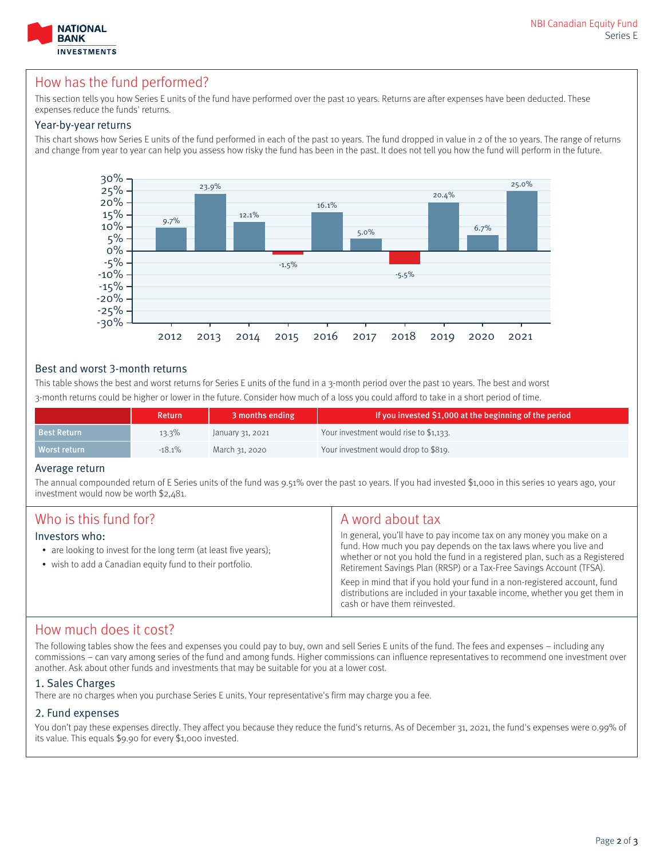

### How has the fund performed?

This section tells you how Series E units of the fund have performed over the past 10 years. Returns are after expenses have been deducted. These expenses reduce the funds' returns.

#### Year-by-year returns

This chart shows how Series E units of the fund performed in each of the past 10 years. The fund dropped in value in 2 of the 10 years. The range of returns and change from year to year can help you assess how risky the fund has been in the past. It does not tell you how the fund will perform in the future.



#### Best and worst 3-month returns

This table shows the best and worst returns for Series E units of the fund in a 3-month period over the past 10 years. The best and worst 3-month returns could be higher or lower in the future. Consider how much of a loss you could afford to take in a short period of time.

|                    | <b>Return</b> | 3 months ending  | If you invested \$1,000 at the beginning of the period |
|--------------------|---------------|------------------|--------------------------------------------------------|
| <b>Best Return</b> | $13.3\%$      | January 31, 2021 | Your investment would rise to \$1,133.                 |
| Worst return       | $-18.1%$      | March 31, 2020   | Your investment would drop to \$819.                   |

#### Average return

The annual compounded return of E Series units of the fund was 9.51% over the past 10 years. If you had invested \$1,000 in this series 10 years ago, your investment would now be worth \$2,481.

| Who is this fund for?<br>Investors who:<br>• are looking to invest for the long term (at least five years);<br>• wish to add a Canadian equity fund to their portfolio. | A word about tax<br>In general, you'll have to pay income tax on any money you make on a<br>fund. How much you pay depends on the tax laws where you live and<br>whether or not you hold the fund in a registered plan, such as a Registered                     |  |
|-------------------------------------------------------------------------------------------------------------------------------------------------------------------------|------------------------------------------------------------------------------------------------------------------------------------------------------------------------------------------------------------------------------------------------------------------|--|
|                                                                                                                                                                         | Retirement Savings Plan (RRSP) or a Tax-Free Savings Account (TFSA).<br>Keep in mind that if you hold your fund in a non-registered account, fund<br>distributions are included in your taxable income, whether you get them in<br>cash or have them reinvested. |  |

### How much does it cost?

The following tables show the fees and expenses you could pay to buy, own and sell Series E units of the fund. The fees and expenses – including any commissions – can vary among series of the fund and among funds. Higher commissions can influence representatives to recommend one investment over another. Ask about other funds and investments that may be suitable for you at a lower cost.

#### 1. Sales Charges

There are no charges when you purchase Series E units. Your representative's firm may charge you a fee.

#### 2. Fund expenses

You don't pay these expenses directly. They affect you because they reduce the fund's returns. As of December 31, 2021, the fund's expenses were 0.99% of its value. This equals \$9.90 for every \$1,000 invested.